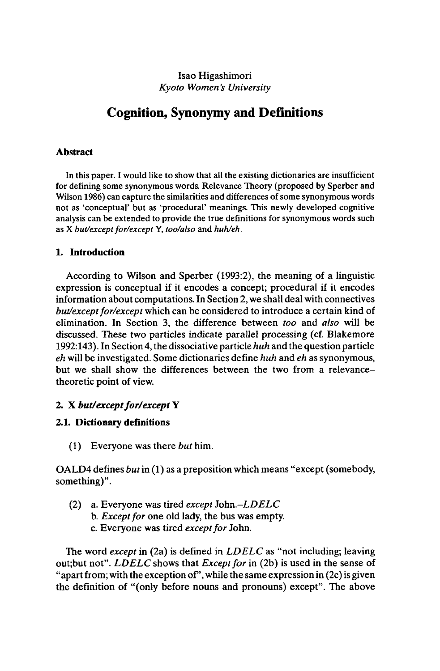#### Isao Higashimori *Kyoto Women's University*

# **Cognition, Synonymy and Definitions**

#### **Abstract**

In this paper. I would like to show that all the existing dictionaries are insufficient for defining some synonymous words. Relevance Theory (proposed by Sperber and Wilson 1986) can capture the similarities and differences of some synonymous words not as 'conceptual' but as 'procedural' meanings. This newly developed cognitive analysis can be extended to provide the true definitions for synonymous words such as X *but/exceptfor/except* Y, *too/also* and *huh/eh.*

#### **1. Introduction**

According to Wilson and Sperber (1993:2), the meaning of a linguistic expression is conceptual if it encodes a concept; procedural if it encodes information about computations. In Section 2, we shall deal with connectives *but/except for/except* which can be considered to introduce a certain kind of elimination. In Section 3, the difference between *too* and *also* will be discussed. These two particles indicate parallel processing (cf. Blakemore 1992:143). In Section 4, the dissociative particle *huh* and the question particle *eh* will be investigated. Some dictionaries define *huh* and *eh* as synonymous, but we shall show the differences between the two from a relevancetheoretic point of view.

#### **2. X** *but/exceptfor/except* **Y**

#### **2.1. Dictionary definitions**

(1) Everyone was there *but* him.

OALD4 defines *but*in (1) as a preposition which means "except (somebody, something)".

(2) a. Everyone was tired *except John.-LDELC* b. *Except for* one old lady, the bus was empty. c. Everyone was tired *except for* John.

The word *except* in (2a) is defined in *LDELC* as "not including; leaving out;but not". *LDELC* shows that *Except for* in (2b) is used in the sense of "apart from; with the exception of", while the same expression in  $(2c)$  is given the definition of "(only before nouns and pronouns) except". The above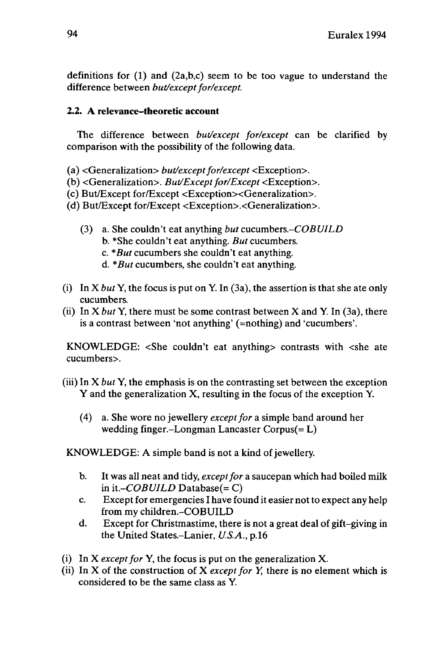definitions for  $(1)$  and  $(2a,b,c)$  seem to be too vague to understand the difference between *but/except for/except*.

### **2.2. A relevance-theoretic account**

The difference between *but/except for/except* can be clarified by comparison with the possibility of the following data.

(a) <Generalization> *but/except for/except* <Exception>.

(b) <Generalization>. *But/Except for/Except* <Exception>.

 $(c)$  But/Except for/Except  $\leq$ Exception $\geq$ Generalization $\geq$ .

(d) But/Except for/Except <Exception>.<Generalization>.

- (3) a. She couldn't eat anything *but cucumbers.-COBUILD*
	- b. \*She couldn't eat anything. *But* cucumbers.
	- c. *\*But* cucumbers she couldn't eat anything.
	- d. *\*But* cucumbers, she couldn't eat anything.
- (i) In X *but* Y, the focus is put on Y. In (3a), the assertion is that she ate only cucumbers,
- (ii) In  $X$  *but*  $Y$ , there must be some contrast between  $X$  and  $Y$ . In (3a), there is a contrast between 'not anything' (=nothing) and 'cucumbers'.

KNOWLEDGE: <She couldn't eat anything> contrasts with <she ate cucumbers>.

- (iii) In X *but* Y, the emphasis is on the contrasting set between the exception Y and the generalization X, resulting in the focus of the exception Y.
	- (4) a. She wore no jewellery *exceptfor* a simple band around her wedding finger-Longman Lancaster Corpus(= L)

KNOWLEDGE: A simple band is not a kind of jewellery.

- b. It was all neat and tidy, *exceptfor* a saucepan which had boiled milk in *it.-COBUILD* Database(= C)
- c. Except for emergencies I have found it easier not to expect any help from my children.-COBUILD
- d. Except for Christmastime, there is not a great deal of gift-giving in the United States-Lanier, *U.S.A.,* p.16
- (i) In X *except for* Y, the focus is put on the generalization X.
- (ii) In  $X$  of the construction of  $X$  *except for*  $Y$ , there is no element which is considered to be the same class as Y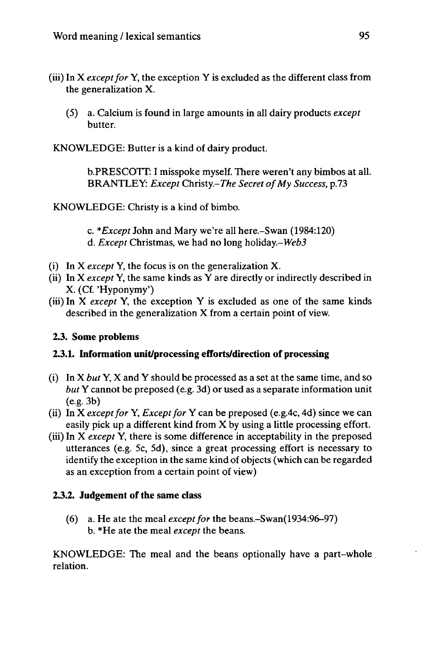- (iii) In  $X$  *except for*  $Y$ , the exception  $Y$  is excluded as the different class from the generalization X.
	- (5) a. Calcium is found in large amounts in all dairy products *except* butter.

KNOWLEDGE: Butter is a kind of dairy product.

b.PRESCOTT: I misspoke myself. There weren't any bimbos at all. BRANTLEY: *Except* Christy.-*The Secret ofMy Success,* p.73

KNOWLEDGE: Christy is a kind of bimbo.

c. *\*Except* John and Mary we're all here.-Swan (1984:120) d. *Except* Christmas, we had no long holiday.-Web3

- (i) In X *except* Y, the focus is on the generalization X.
- (ii) In X *except* Y, the same kinds as Y are directly or indirectly described in X. (Cf. 'Hyponymy')
- (iii) In X *except* Y, the exception Y is excluded as one of the same kinds described in the generalization X from a certain point of view.

# **2.3. Some problems**

# **2.3.1. Information unit/processing efforts/direction of processing**

- (i) In X *but* Y, X and Y should be processed as a set at the same time, and so *but* Y cannot be preposed (e.g. 3d) or used as a separate information unit  $(e.g. 3b)$
- (ii) In X *except for* Y, *Except for* Y can be preposed (e.g.4c, 4d) since we can easily pick up a different kind from  $X$  by using a little processing effort.
- (iii) In X *except* Y, there is some difference in acceptability in the preposed utterances (e.g. 5c, 5d), since a great processing effort is necessary to identify the exception in the same kind of objects (which can be regarded as an exception from a certain point of view)

# **2.3.2. Judgement of the same class**

(6) a. He ate the meal *exceptfor* the beans.-Swan(1934:96-97) b. \*He ate the meal *except* the beans.

KNOWLEDGE: The meal and the beans optionally have a part-whole relation.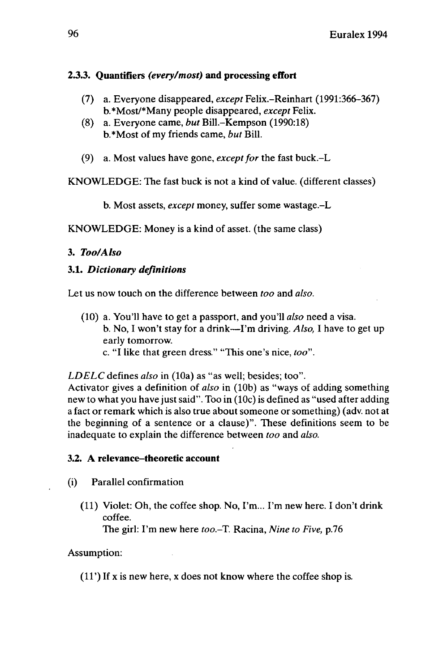# **2.3.3. Quantifiers** *(every/most)* **and processing effort**

- (7) a. Everyone disappeared, *except* Felix.-Reinhart (1991:366-367) b.\*Most/\*Many people disappeared, *except* Felix.
- (8) a. Everyone came, *but* Bill.-Kempson (1990:18) b.\*Most of my friends came, *but* Bill.
- (9) a. Most values have gone, *exceptfor* the fast buck.-L

KNOWLEDGE: The fast buck is not a kind of value, (different classes)

b. Most assets, *except* money, suffer some wastage.-L

KNOWLEDGE: Money is a kind of asset, (the same class)

# **3.** *Too/Also*

# **3.1.** *Dictionary definitions*

Let us now touch on the difference between *too* and *also.*

- (10) a. You'll have to get a passport, and you'll *also* need a visa. b. No, I won't stay for a drink—I'm driving. *Also*, I have to get up early tomorrow.
	- c. "I like that green dress." "This one's nice, *too".*

*LDELC* defines *also* in (10a) as "as well; besides; too".

Activator gives a definition of *also* in (10b) as "ways of adding something new to what you have just said". Too in (10c) is defined as "used after adding a fact or remark which is also true about someone or something) (adv. not at the beginning of a sentence or a clause)". These definitions seem to be inadequate to explain the difference between *too* and *also.*

# **3.2. A** relevance–theoretic account

- (i) Parallel confirmation
	- (11) Violet: Oh, the coffee shop. No, I'm... I'm new here. I don't drink coffee. The girl: I'm new here *too.-T.* Racina, *Nine to Five,* p.76

# Assumption:

(11') If x is new here, x does not know where the coffee shop is.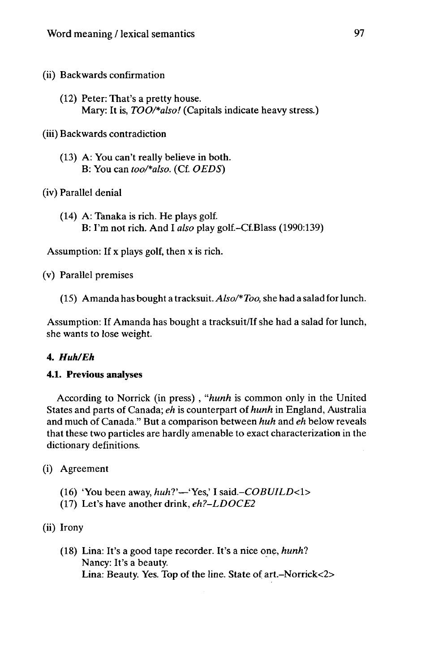- (ii) Backwards confirmation
	- (12) Peter: That's a pretty house. Mary: It is, *TOO/\*also!* (Capitals indicate heavy stress.)

(iii) Backwards contradiction

(13) A: You can't really believe in both. B: You can *too/\*also.* (Cf. *OEDS)*

(iv) Parallel denial

(14) A: Tanaka is rich. He plays golf. B: I'm not rich. And I *also* play golf.-Cf.Blass (1990:139)

Assumption: If x plays golf, then x is rich,

(v) Parallel premises

(15) Amanda has bought a tracksuit. *Also/\*Too,* she had a salad forlunch.

Assumption: If Amanda has bought a tracksuit/If she had a salad for lunch, she wants to lose weight.

#### **4.** *Huh/Eh*

#### **4.1. Previous analyses**

According to Norrick (in press) , *"hunh* is common only in the United States and parts of Canada; *eh* is counterpart of *hunh* in England, Australia and much of Canada." But a comparison between *huh* and *eh* below reveals that these two particles are hardly amenable to exact characterization in the dictionary definitions.

(i) Agreement

- (16) 'You been away, *huh*?'—'Yes,' I said.-COBUILD<1>
- (17) Let's have another drink, *eh?-LDOCE2*

(ii) Irony

(18) Lina: It's a good tape recorder. It's a nice one, *hunhl* Nancy: It's a beauty. Lina: Beauty. Yes. Top of the line. State of art.-Norrick<2>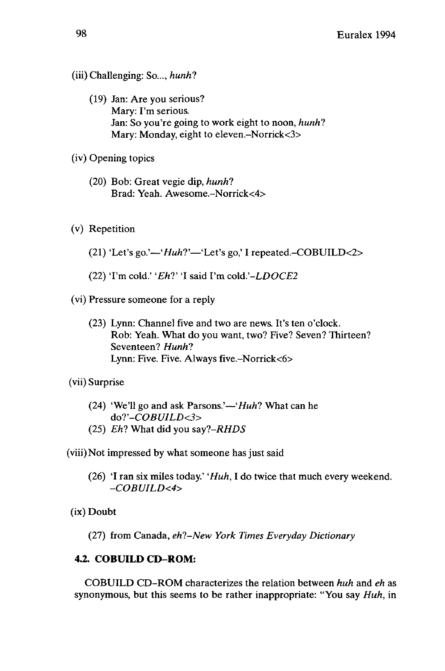- (iii) Challenging: So..., *hunh?*
	- (19) Jan: Are you serious? Mary: I'm serious. Jan: So you're going to work eight to noon, *hunh?* Mary: Monday, eight to eleven.-Norrick<3>
- (iv) Opening topics
	- (20) Bob: Great vegie dip, *hunh?* Brad: Yeah. Awesome.-Norrick<4>
- (v) Repetition
	- (21) 'Let's go.' $-iHuh?$ <sup>'</sup>Let's go,' I repeated. $-COBULD<2>$
	- (22) 'I'm cold.' 'Eh?' 'I said I'm cold.'-LDOCE2
- (vi) Pressure someone for a reply
	- (23) Lynn: Channel five and two are news. It's ten o'clock. Rob: Yeah. What do you want, two? Five? Seven? Thirteen? Seventeen? *Hunh?* Lynn: Five. Five. Always five.-Norrick<6>
- (vii) Surprise
	- (24) 'We'll go and ask Parsons.'—*'Huh*? What can he *do?, -COBUILD<3>*
	- (25) *Eh?* What did you *say?-RHDS*

(viii)Not impressed by what someone has just said

- (26) 'I ran six miles today.' *'Huh,* I do twice that much every weekend. *-COBUILD<4>*
- (ix) Doubt
	- (27) from Canada, *eh?-New York Times Everyday Dictionary*

### **4.2. COBUILD CD-ROM:**

COBUILD CD-ROM characterizes the relation between *huh* and *eh* as synonymous, but this seems to be rather inappropriate: "You say *Huh,* in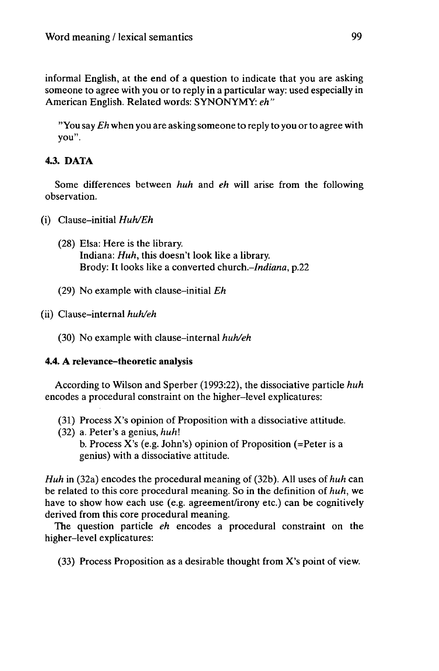informal English, at the end of a question to indicate that you are asking someone to agree with you or to reply in a particular way: used especially in American English. Related words: SYNONYMY: *eh"*

"You say *Eh* when you are asking someone to reply to you or to agree with you".

# 4.3. DATA

Some differences between *huh* and *eh* will arise from the following observation.

- (i) Clause-initial *Huh/Eh*
	- (28) Elsa: Here is the library. Indiana: *Huh,* this doesn't look like a library. Brody: It looks like a converted *church-Indiana,* p.22
	- (29) No example with clause-initial *Eh*

(30) No example with clause-internal *huh/eh*

# 4.4. A relevance-theoretic analysis

According to Wilson and Sperber (1993:22), the dissociative particle *huh* encodes a procedural constraint on the higher-level explicatures:

- (31) Process X's opinion of Proposition with a dissociative attitude.
- (32) a. Peter's a genius, *huh\* b. Process X's (e.g. John's) opinion of Proposition (=Peter is a genius) with a dissociative attitude.

*Huh* in (32a) encodes the procedural meaning of (32b). All uses of *huh* can be related to this core procedural meaning. So in the definition of *huh,* we have to show how each use (e.g. agreement/irony etc.) can be cognitively derived from this core procedural meaning.

The question particle *eh* encodes a procedural constraint on the higher-level explicatures:

(33) Process Proposition as a desirable thought from X's point of view.

<sup>(</sup>ii) Clause-internal *huh/eh*